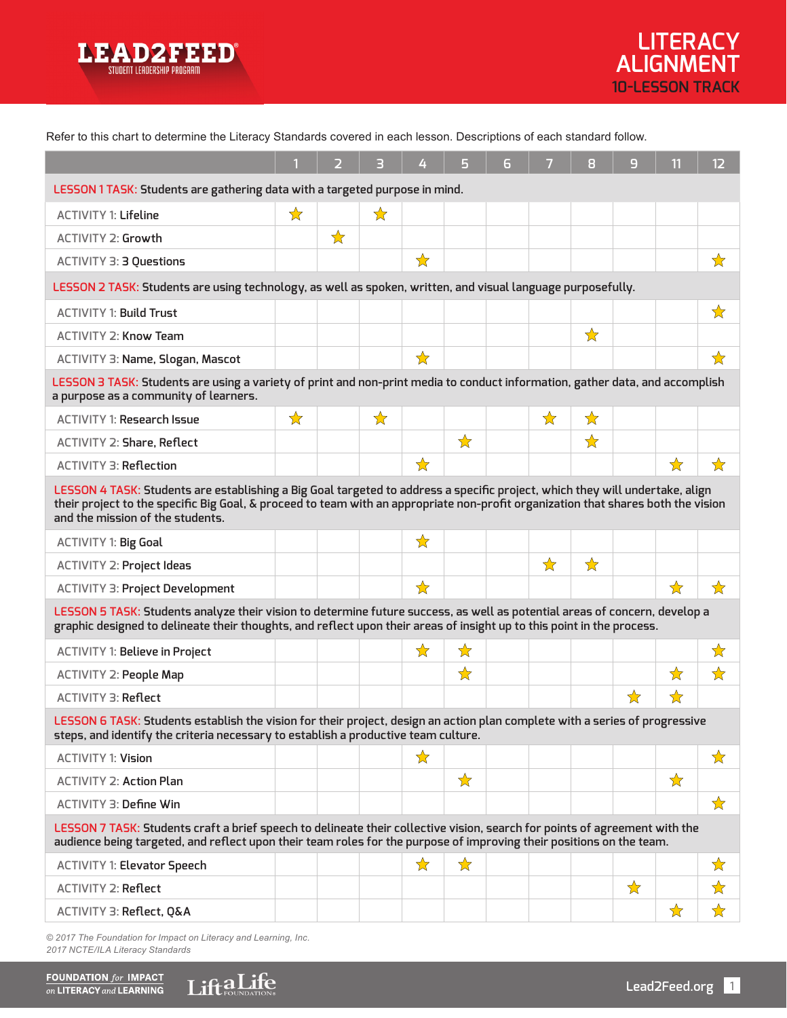

Refer to this chart to determine the Literacy Standards covered in each lesson. Descriptions of each standard follow.

|                                                                                                                                                                                                                                                                                                       |   | 2 | 3            | 4                    | 5             | 6 | 7            | 8         | 9 | 11            | 12                            |
|-------------------------------------------------------------------------------------------------------------------------------------------------------------------------------------------------------------------------------------------------------------------------------------------------------|---|---|--------------|----------------------|---------------|---|--------------|-----------|---|---------------|-------------------------------|
| LESSON 1 TASK: Students are gathering data with a targeted purpose in mind.                                                                                                                                                                                                                           |   |   |              |                      |               |   |              |           |   |               |                               |
| <b>ACTIVITY 1: Lifeline</b>                                                                                                                                                                                                                                                                           | ☆ |   | $\mathbf{r}$ |                      |               |   |              |           |   |               |                               |
| <b>ACTIVITY 2: Growth</b>                                                                                                                                                                                                                                                                             |   | ☆ |              |                      |               |   |              |           |   |               |                               |
| ACTIVITY 3: 3 Questions                                                                                                                                                                                                                                                                               |   |   |              | ☆                    |               |   |              |           |   |               | ☆                             |
| LESSON 2 TASK: Students are using technology, as well as spoken, written, and visual language purposefully.                                                                                                                                                                                           |   |   |              |                      |               |   |              |           |   |               |                               |
| <b>ACTIVITY 1: Build Trust</b>                                                                                                                                                                                                                                                                        |   |   |              |                      |               |   |              |           |   |               | ☆                             |
| <b>ACTIVITY 2: Know Team</b>                                                                                                                                                                                                                                                                          |   |   |              |                      |               |   |              | ☆         |   |               |                               |
| ACTIVITY 3: Name, Slogan, Mascot                                                                                                                                                                                                                                                                      |   |   |              | ☆                    |               |   |              |           |   |               | ☆                             |
| LESSON 3 TASK: Students are using a variety of print and non-print media to conduct information, gather data, and accomplish<br>a purpose as a community of learners.                                                                                                                                 |   |   |              |                      |               |   |              |           |   |               |                               |
| <b>ACTIVITY 1: Research Issue</b>                                                                                                                                                                                                                                                                     | ☆ |   | ☆            |                      |               |   | $\mathbf{r}$ | $\forall$ |   |               |                               |
| <b>ACTIVITY 2: Share, Reflect</b>                                                                                                                                                                                                                                                                     |   |   |              |                      | ☆             |   |              | ☆         |   |               |                               |
| <b>ACTIVITY 3: Reflection</b>                                                                                                                                                                                                                                                                         |   |   |              | ☆                    |               |   |              |           |   | ☆             | ☆                             |
| LESSON 4 TASK: Students are establishing a Big Goal targeted to address a specific project, which they will undertake, align<br>their project to the specific Big Goal, & proceed to team with an appropriate non-profit organization that shares both the vision<br>and the mission of the students. |   |   |              |                      |               |   |              |           |   |               |                               |
| ACTIVITY 1: Big Goal                                                                                                                                                                                                                                                                                  |   |   |              | ☆                    |               |   |              |           |   |               |                               |
| ACTIVITY 2: Project Ideas                                                                                                                                                                                                                                                                             |   |   |              |                      |               |   | ☆            | ☆         |   |               |                               |
| <b>ACTIVITY 3: Project Development</b>                                                                                                                                                                                                                                                                |   |   |              | $\bigstar$           |               |   |              |           |   | ☆             | ☆                             |
| LESSON 5 TASK: Students analyze their vision to determine future success, as well as potential areas of concern, develop a<br>graphic designed to delineate their thoughts, and reflect upon their areas of insight up to this point in the process.                                                  |   |   |              |                      |               |   |              |           |   |               |                               |
| ACTIVITY 1: Believe in Project                                                                                                                                                                                                                                                                        |   |   |              | $\frac{1}{\sqrt{2}}$ | $\bigstar$    |   |              |           |   |               | ☆                             |
| <b>ACTIVITY 2: People Map</b>                                                                                                                                                                                                                                                                         |   |   |              |                      | $\bigstar$    |   |              |           |   | ☆             | $\overrightarrow{\mathbf{k}}$ |
| <b>ACTIVITY 3: Reflect</b>                                                                                                                                                                                                                                                                            |   |   |              |                      |               |   |              |           | ☆ | $\rightarrow$ |                               |
| LESSON 6 TASK: Students establish the vision for their project, design an action plan complete with a series of progressive<br>steps, and identify the criteria necessary to establish a productive team culture.                                                                                     |   |   |              |                      |               |   |              |           |   |               |                               |
| <b>ACTIVITY 1: Vision</b>                                                                                                                                                                                                                                                                             |   |   |              | ☆                    |               |   |              |           |   |               | ☆                             |
| <b>ACTIVITY 2: Action Plan</b>                                                                                                                                                                                                                                                                        |   |   |              |                      | $\frac{1}{N}$ |   |              |           |   | $\frac{1}{N}$ |                               |
| <b>ACTIVITY 3: Define Win</b>                                                                                                                                                                                                                                                                         |   |   |              |                      |               |   |              |           |   |               | ☆                             |
| LESSON 7 TASK: Students craft a brief speech to delineate their collective vision, search for points of agreement with the<br>audience being targeted, and reflect upon their team roles for the purpose of improving their positions on the team.                                                    |   |   |              |                      |               |   |              |           |   |               |                               |
| <b>ACTIVITY 1: Elevator Speech</b>                                                                                                                                                                                                                                                                    |   |   |              | ☆                    | ☆             |   |              |           |   |               | ☆                             |
| <b>ACTIVITY 2: Reflect</b>                                                                                                                                                                                                                                                                            |   |   |              |                      |               |   |              |           | ☆ |               | ☆                             |
| ACTIVITY 3: Reflect, Q&A                                                                                                                                                                                                                                                                              |   |   |              |                      |               |   |              |           |   | ☆             | ☆                             |

*© 2017 The Foundation for Impact on Literacy and Learning, Inc. 2017 NCTE/ILA Literacy Standards*